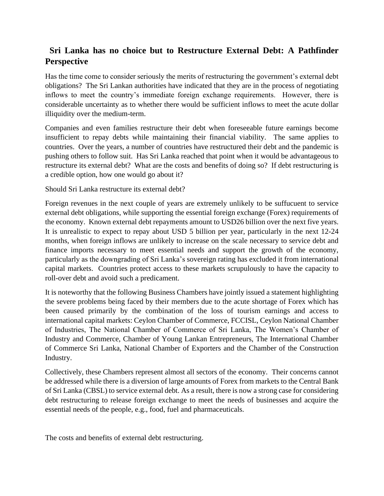## **Sri Lanka has no choice but to Restructure External Debt: A Pathfinder Perspective**

Has the time come to consider seriously the merits of restructuring the government's external debt obligations? The Sri Lankan authorities have indicated that they are in the process of negotiating inflows to meet the country's immediate foreign exchange requirements. However, there is considerable uncertainty as to whether there would be sufficient inflows to meet the acute dollar illiquidity over the medium-term.

Companies and even families restructure their debt when foreseeable future earnings become insufficient to repay debts while maintaining their financial viability. The same applies to countries. Over the years, a number of countries have restructured their debt and the pandemic is pushing others to follow suit. Has Sri Lanka reached that point when it would be advantageous to restructure its external debt? What are the costs and benefits of doing so? If debt restructuring is a credible option, how one would go about it?

Should Sri Lanka restructure its external debt?

Foreign revenues in the next couple of years are extremely unlikely to be suffucuent to service external debt obligations, while supporting the essential foreign exchange (Forex) requirements of the economy. Known external debt repayments amount to USD26 billion over the next five years. It is unrealistic to expect to repay about USD 5 billion per year, particularly in the next 12-24 months, when foreign inflows are unlikely to increase on the scale necessary to service debt and finance imports necessary to meet essential needs and support the growth of the economy, particularly as the downgrading of Sri Lanka's sovereign rating has excluded it from international capital markets. Countries protect access to these markets scrupulously to have the capacity to roll-over debt and avoid such a predicament.

It is noteworthy that the following Business Chambers have jointly issued a statement highlighting the severe problems being faced by their members due to the acute shortage of Forex which has been caused primarily by the combination of the loss of tourism earnings and access to international capital markets: Ceylon Chamber of Commerce, FCCISL, Ceylon National Chamber of Industries, The National Chamber of Commerce of Sri Lanka, The Women's Chamber of Industry and Commerce, Chamber of Young Lankan Entrepreneurs, The International Chamber of Commerce Sri Lanka, National Chamber of Exporters and the Chamber of the Construction Industry.

Collectively, these Chambers represent almost all sectors of the economy. Their concerns cannot be addressed while there is a diversion of large amounts of Forex from markets to the Central Bank of Sri Lanka (CBSL) to service external debt. As a result, there is now a strong case for considering debt restructuring to release foreign exchange to meet the needs of businesses and acquire the essential needs of the people, e.g., food, fuel and pharmaceuticals.

The costs and benefits of external debt restructuring.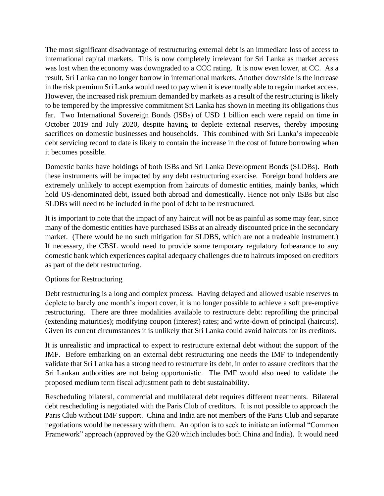The most significant disadvantage of restructuring external debt is an immediate loss of access to international capital markets. This is now completely irrelevant for Sri Lanka as market access was lost when the economy was downgraded to a CCC rating. It is now even lower, at CC. As a result, Sri Lanka can no longer borrow in international markets. Another downside is the increase in the risk premium Sri Lanka would need to pay when it is eventually able to regain market access. However, the increased risk premium demanded by markets as a result of the restructuring is likely to be tempered by the impressive commitment Sri Lanka has shown in meeting its obligations thus far. Two International Sovereign Bonds (ISBs) of USD 1 billion each were repaid on time in October 2019 and July 2020, despite having to deplete external reserves, thereby imposing sacrifices on domestic businesses and households. This combined with Sri Lanka's impeccable debt servicing record to date is likely to contain the increase in the cost of future borrowing when it becomes possible.

Domestic banks have holdings of both ISBs and Sri Lanka Development Bonds (SLDBs). Both these instruments will be impacted by any debt restructuring exercise. Foreign bond holders are extremely unlikely to accept exemption from haircuts of domestic entities, mainly banks, which hold US-denominated debt, issued both abroad and domestically. Hence not only ISBs but also SLDBs will need to be included in the pool of debt to be restructured.

It is important to note that the impact of any haircut will not be as painful as some may fear, since many of the domestic entities have purchased ISBs at an already discounted price in the secondary market. (There would be no such mitigation for SLDBS, which are not a tradeable instrument.) If necessary, the CBSL would need to provide some temporary regulatory forbearance to any domestic bank which experiences capital adequacy challenges due to haircuts imposed on creditors as part of the debt restructuring.

## Options for Restructuring

Debt restructuring is a long and complex process. Having delayed and allowed usable reserves to deplete to barely one month's import cover, it is no longer possible to achieve a soft pre-emptive restructuring. There are three modalities available to restructure debt: reprofiling the principal (extending maturities); modifying coupon (interest) rates; and write-down of principal (haircuts). Given its current circumstances it is unlikely that Sri Lanka could avoid haircuts for its creditors.

It is unrealistic and impractical to expect to restructure external debt without the support of the IMF. Before embarking on an external debt restructuring one needs the IMF to independently validate that Sri Lanka has a strong need to restructure its debt, in order to assure creditors that the Sri Lankan authorities are not being opportunistic. The IMF would also need to validate the proposed medium term fiscal adjustment path to debt sustainability.

Rescheduling bilateral, commercial and multilateral debt requires different treatments. Bilateral debt rescheduling is negotiated with the Paris Club of creditors. It is not possible to approach the Paris Club without IMF support. China and India are not members of the Paris Club and separate negotiations would be necessary with them. An option is to seek to initiate an informal "Common Framework" approach (approved by the G20 which includes both China and India). It would need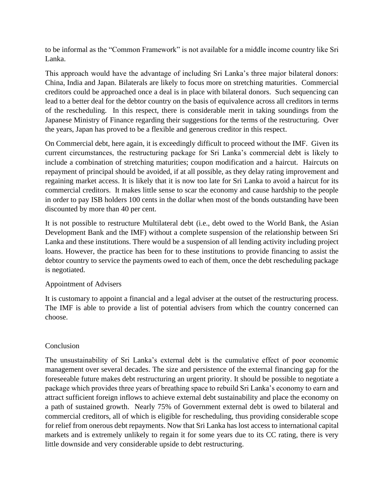to be informal as the "Common Framework" is not available for a middle income country like Sri Lanka.

This approach would have the advantage of including Sri Lanka's three major bilateral donors: China, India and Japan. Bilaterals are likely to focus more on stretching maturities. Commercial creditors could be approached once a deal is in place with bilateral donors. Such sequencing can lead to a better deal for the debtor country on the basis of equivalence across all creditors in terms of the rescheduling. In this respect, there is considerable merit in taking soundings from the Japanese Ministry of Finance regarding their suggestions for the terms of the restructuring. Over the years, Japan has proved to be a flexible and generous creditor in this respect.

On Commercial debt, here again, it is exceedingly difficult to proceed without the IMF. Given its current circumstances, the restructuring package for Sri Lanka's commercial debt is likely to include a combination of stretching maturities; coupon modification and a haircut. Haircuts on repayment of principal should be avoided, if at all possible, as they delay rating improvement and regaining market access. It is likely that it is now too late for Sri Lanka to avoid a haircut for its commercial creditors. It makes little sense to scar the economy and cause hardship to the people in order to pay ISB holders 100 cents in the dollar when most of the bonds outstanding have been discounted by more than 40 per cent.

It is not possible to restructure Multilateral debt (i.e., debt owed to the World Bank, the Asian Development Bank and the IMF) without a complete suspension of the relationship between Sri Lanka and these institutions. There would be a suspension of all lending activity including project loans. However, the practice has been for to these institutions to provide financing to assist the debtor country to service the payments owed to each of them, once the debt rescheduling package is negotiated.

## Appointment of Advisers

It is customary to appoint a financial and a legal adviser at the outset of the restructuring process. The IMF is able to provide a list of potential advisers from which the country concerned can choose.

## Conclusion

The unsustainability of Sri Lanka's external debt is the cumulative effect of poor economic management over several decades. The size and persistence of the external financing gap for the foreseeable future makes debt restructuring an urgent priority. It should be possible to negotiate a package which provides three years of breathing space to rebuild Sri Lanka's economy to earn and attract sufficient foreign inflows to achieve external debt sustainability and place the economy on a path of sustained growth. Nearly 75% of Government external debt is owed to bilateral and commercial creditors, all of which is eligible for rescheduling, thus providing considerable scope for relief from onerous debt repayments. Now that Sri Lanka has lost access to international capital markets and is extremely unlikely to regain it for some years due to its CC rating, there is very little downside and very considerable upside to debt restructuring.